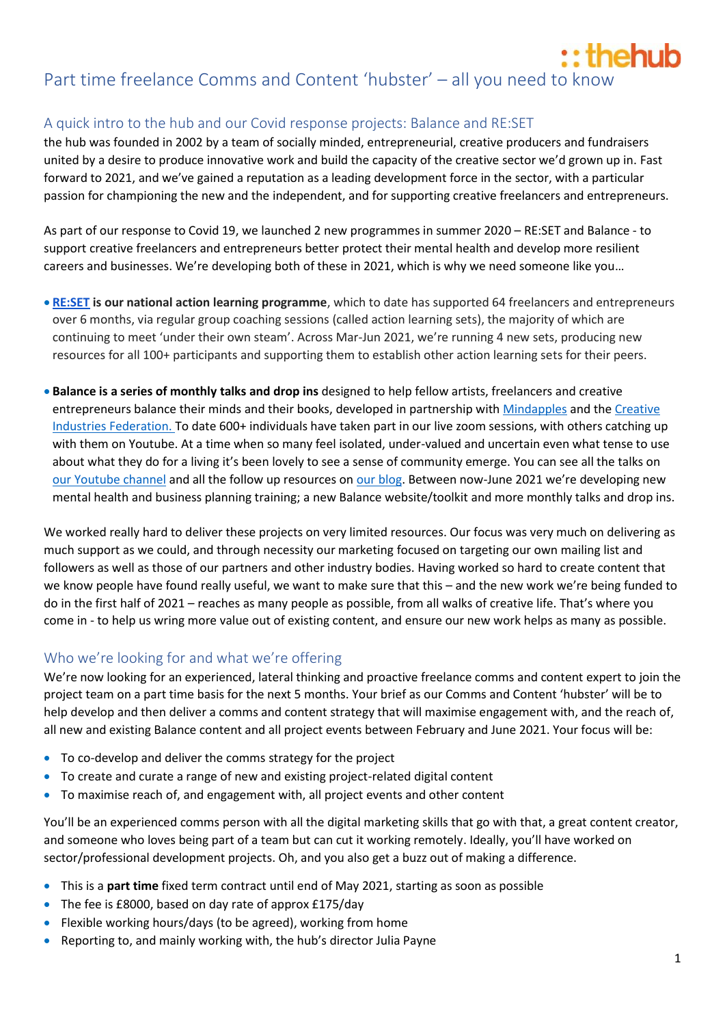# :: thehub Part time freelance Comms and Content 'hubster' – all you need to know

# A quick intro to the hub and our Covid response projects: Balance and RE:SET

the hub was founded in 2002 by a team of socially minded, entrepreneurial, creative producers and fundraisers united by a desire to produce innovative work and build the capacity of the creative sector we'd grown up in. Fast forward to 2021, and we've gained a reputation as a leading development force in the sector, with a particular passion for championing the new and the independent, and for supporting creative freelancers and entrepreneurs.

As part of our response to Covid 19, we launched 2 new programmes in summer 2020 – RE:SET and Balance - to support creative freelancers and entrepreneurs better protect their mental health and develop more resilient careers and businesses. We're developing both of these in 2021, which is why we need someone like you…

- **[RE:SET](https://thehubuk.com/projects/re-set/) is our national action learning programme**, which to date has supported 64 freelancers and entrepreneurs over 6 months, via regular group coaching sessions (called action learning sets), the majority of which are continuing to meet 'under their own steam'. Across Mar-Jun 2021, we're running 4 new sets, producing new resources for all 100+ participants and supporting them to establish other action learning sets for their peers.
- **Balance is a series of monthly talks and drop ins** designed to help fellow artists, freelancers and creative entrepreneurs balance their minds and their books, developed in partnership with [Mindapples](https://mindapples.org/) and the [Creative](https://www.creativeindustriesfederation.com/)  [Industries Federation.](https://www.creativeindustriesfederation.com/) To date 600+ individuals have taken part in our live zoom sessions, with others catching up with them on Youtube. At a time when so many feel isolated, under-valued and uncertain even what tense to use about what they do for a living it's been lovely to see a sense of community emerge. You can see all the talks on [our Youtube channel](https://www.youtube.com/channel/UC_4GZXhviocmocXyrLEvx8g) and all the follow up resources on [our blog.](https://thehubuk.com/blog/) Between now-June 2021 we're developing new mental health and business planning training; a new Balance website/toolkit and more monthly talks and drop ins.

We worked really hard to deliver these projects on very limited resources. Our focus was very much on delivering as much support as we could, and through necessity our marketing focused on targeting our own mailing list and followers as well as those of our partners and other industry bodies. Having worked so hard to create content that we know people have found really useful, we want to make sure that this – and the new work we're being funded to do in the first half of 2021 – reaches as many people as possible, from all walks of creative life. That's where you come in - to help us wring more value out of existing content, and ensure our new work helps as many as possible.

# Who we're looking for and what we're offering

We're now looking for an experienced, lateral thinking and proactive freelance comms and content expert to join the project team on a part time basis for the next 5 months. Your brief as our Comms and Content 'hubster' will be to help develop and then deliver a comms and content strategy that will maximise engagement with, and the reach of, all new and existing Balance content and all project events between February and June 2021. Your focus will be:

- To co-develop and deliver the comms strategy for the project
- To create and curate a range of new and existing project-related digital content
- To maximise reach of, and engagement with, all project events and other content

You'll be an experienced comms person with all the digital marketing skills that go with that, a great content creator, and someone who loves being part of a team but can cut it working remotely. Ideally, you'll have worked on sector/professional development projects. Oh, and you also get a buzz out of making a difference.

- This is a **part time** fixed term contract until end of May 2021, starting as soon as possible
- The fee is £8000, based on day rate of approx £175/day
- Flexible working hours/days (to be agreed), working from home
- Reporting to, and mainly working with, the hub's director Julia Payne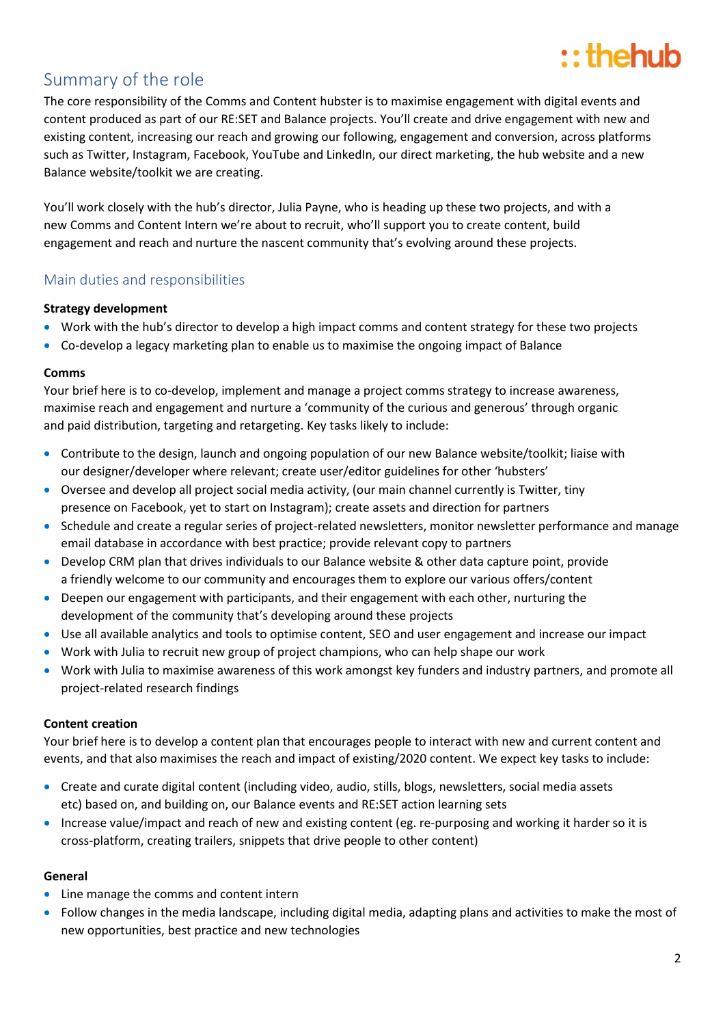# $::$  the hub

# Summary of the role

The core responsibility of the Comms and Content hubster is to maximise engagement with digital events and content produced as part of our RE:SET and Balance projects. You'll create and drive engagement with new and existing content, increasing our reach and growing our following, engagement and conversion, across platforms such as Twitter, Instagram, Facebook, YouTube and LinkedIn, our direct marketing, the hub website and a new Balance website/toolkit we are creating.

You'll work closely with the hub's director, Julia Payne, who is heading up these two projects, and with a new Comms and Content Intern we're about to recruit, who'll support you to create content, build engagement and reach and nurture the nascent community that's evolving around these projects.

## Main duties and responsibilities

#### **Strategy development**

- Work with the hub's director to develop a high impact comms and content strategy for these two projects
- Co-develop a legacy marketing plan to enable us to maximise the ongoing impact of Balance

#### **Comms**

Your brief here is to co-develop, implement and manage a project comms strategy to increase awareness, maximise reach and engagement and nurture a 'community of the curious and generous' through organic and paid distribution, targeting and retargeting. Key tasks likely to include:

- Contribute to the design, launch and ongoing population of our new Balance website/toolkit; liaise with our designer/developer where relevant; create user/editor guidelines for other 'hubsters'
- Oversee and develop all project social media activity, (our main channel currently is Twitter, tiny presence on Facebook, yet to start on Instagram); create assets and direction for partners
- Schedule and create a regular series of project-related newsletters, monitor newsletter performance and manage email database in accordance with best practice; provide relevant copy to partners
- Develop CRM plan that drives individuals to our Balance website & other data capture point, provide a friendly welcome to our community and encourages them to explore our various offers/content
- Deepen our engagement with participants, and their engagement with each other, nurturing the development of the community that's developing around these projects
- Use all available analytics and tools to optimise content, SEO and user engagement and increase our impact
- Work with Julia to recruit new group of project champions, who can help shape our work
- Work with Julia to maximise awareness of this work amongst key funders and industry partners, and promote all project-related research findings

### **Content creation**

Your brief here is to develop a content plan that encourages people to interact with new and current content and events, and that also maximises the reach and impact of existing/2020 content. We expect key tasks to include:

- Create and curate digital content (including video, audio, stills, blogs, newsletters, social media assets etc) based on, and building on, our Balance events and RE:SET action learning sets
- Increase value/impact and reach of new and existing content (eg. re-purposing and working it harder so it is cross-platform, creating trailers, snippets that drive people to other content)

#### **General**

- Line manage the comms and content intern
- Follow changes in the media landscape, including digital media, adapting plans and activities to make the most of new opportunities, best practice and new technologies